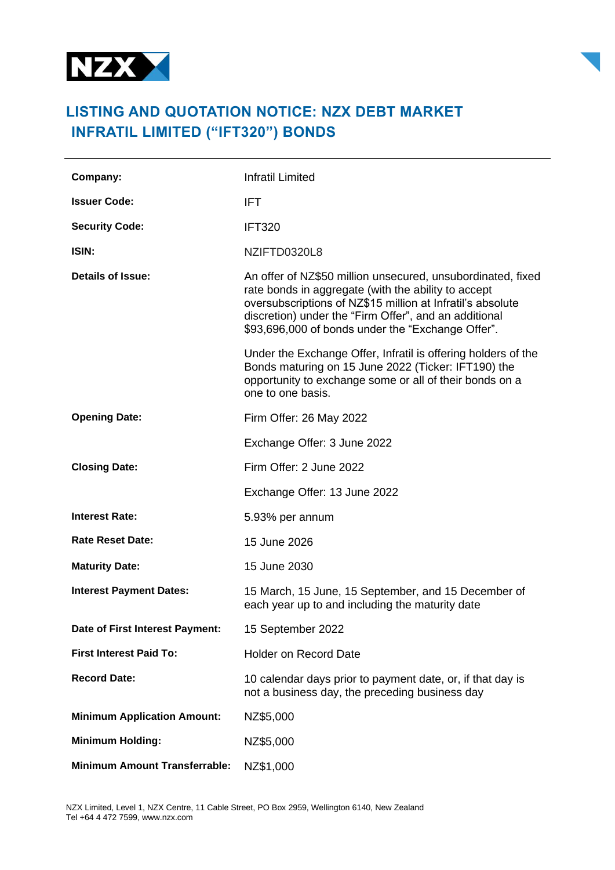



## **LISTING AND QUOTATION NOTICE: NZX DEBT MARKET INFRATIL LIMITED ("IFT320") BONDS**

| Company:                             | <b>Infratil Limited</b>                                                                                                                                                                                                                                                                        |
|--------------------------------------|------------------------------------------------------------------------------------------------------------------------------------------------------------------------------------------------------------------------------------------------------------------------------------------------|
| <b>Issuer Code:</b>                  | IFT.                                                                                                                                                                                                                                                                                           |
| <b>Security Code:</b>                | <b>IFT320</b>                                                                                                                                                                                                                                                                                  |
| ISIN:                                | NZIFTD0320L8                                                                                                                                                                                                                                                                                   |
| Details of Issue:                    | An offer of NZ\$50 million unsecured, unsubordinated, fixed<br>rate bonds in aggregate (with the ability to accept<br>oversubscriptions of NZ\$15 million at Infratil's absolute<br>discretion) under the "Firm Offer", and an additional<br>\$93,696,000 of bonds under the "Exchange Offer". |
|                                      | Under the Exchange Offer, Infratil is offering holders of the<br>Bonds maturing on 15 June 2022 (Ticker: IFT190) the<br>opportunity to exchange some or all of their bonds on a<br>one to one basis.                                                                                           |
| <b>Opening Date:</b>                 | Firm Offer: 26 May 2022                                                                                                                                                                                                                                                                        |
|                                      | Exchange Offer: 3 June 2022                                                                                                                                                                                                                                                                    |
| <b>Closing Date:</b>                 | Firm Offer: 2 June 2022                                                                                                                                                                                                                                                                        |
|                                      | Exchange Offer: 13 June 2022                                                                                                                                                                                                                                                                   |
| <b>Interest Rate:</b>                | 5.93% per annum                                                                                                                                                                                                                                                                                |
| <b>Rate Reset Date:</b>              | 15 June 2026                                                                                                                                                                                                                                                                                   |
| <b>Maturity Date:</b>                | 15 June 2030                                                                                                                                                                                                                                                                                   |
| <b>Interest Payment Dates:</b>       | 15 March, 15 June, 15 September, and 15 December of<br>each year up to and including the maturity date                                                                                                                                                                                         |
| Date of First Interest Payment:      | 15 September 2022                                                                                                                                                                                                                                                                              |
| <b>First Interest Paid To:</b>       | <b>Holder on Record Date</b>                                                                                                                                                                                                                                                                   |
| <b>Record Date:</b>                  | 10 calendar days prior to payment date, or, if that day is<br>not a business day, the preceding business day                                                                                                                                                                                   |
| <b>Minimum Application Amount:</b>   | NZ\$5,000                                                                                                                                                                                                                                                                                      |
| <b>Minimum Holding:</b>              | NZ\$5,000                                                                                                                                                                                                                                                                                      |
| <b>Minimum Amount Transferrable:</b> | NZ\$1,000                                                                                                                                                                                                                                                                                      |